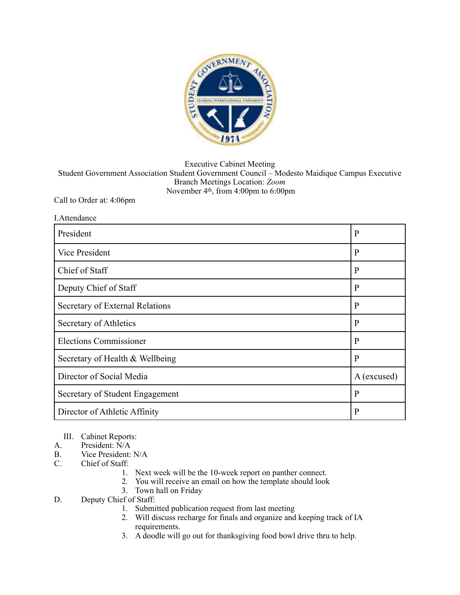

Executive Cabinet Meeting

Student Government Association Student Government Council – Modesto Maidique Campus Executive Branch Meetings Location: *Zoom*  November 4th, from 4:00pm to 6:00pm

Call to Order at: 4:06pm

| I.Attendance                    |              |
|---------------------------------|--------------|
| President                       | $\mathbf{P}$ |
| <b>Vice President</b>           | $\mathbf{P}$ |
| Chief of Staff                  | $\mathbf{P}$ |
| Deputy Chief of Staff           | $\mathbf{P}$ |
| Secretary of External Relations | $\mathbf{P}$ |
| Secretary of Athletics          | $\mathbf{P}$ |
| <b>Elections Commissioner</b>   | $\mathbf{P}$ |
| Secretary of Health & Wellbeing | $\mathbf{P}$ |
| Director of Social Media        | A (excused)  |
| Secretary of Student Engagement | $\mathbf{P}$ |
| Director of Athletic Affinity   | P            |

- III. Cabinet Reports:
- A. President:  $\hat{N}/A$ <br>B. Vice President:
- B. Vice President: N/A<br>C. Chief of Staff:
- Chief of Staff:
	- 1. Next week will be the 10-week report on panther connect.
	- 2. You will receive an email on how the template should look
	- 3. Town hall on Friday
- D. Deputy Chief of Staff:
	- 1. Submitted publication request from last meeting
	- 2. Will discuss recharge for finals and organize and keeping track of IA requirements.
	- 3. A doodle will go out for thanksgiving food bowl drive thru to help.